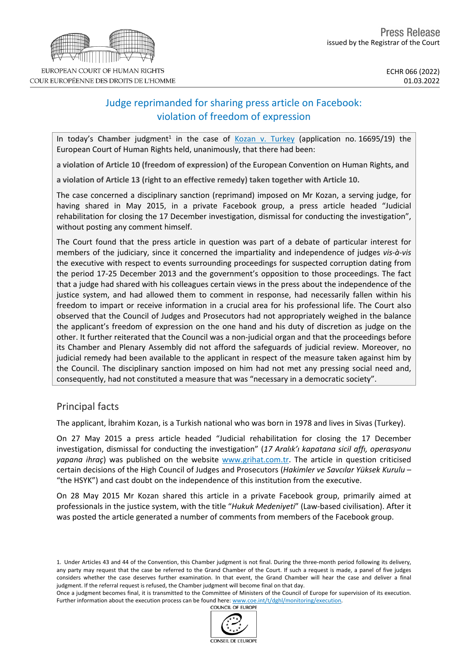# Judge reprimanded for sharing press article on Facebook: violation of freedom of expression

In today's Chamber judgment<sup>1</sup> in the case of Kozan v. [Turkey](https://hudoc.echr.coe.int/eng?i=001-215925) (application no. 16695/19) the European Court of Human Rights held, unanimously, that there had been:

**a violation of Article 10 (freedom of expression)** of the European Convention on Human Rights**, and**

**a violation of Article 13 (right to an effective remedy) taken together with Article 10.**

The case concerned a disciplinary sanction (reprimand) imposed on Mr Kozan, a serving judge, for having shared in May 2015, in a private Facebook group, a press article headed "Judicial rehabilitation for closing the 17 December investigation, dismissal for conducting the investigation", without posting any comment himself.

The Court found that the press article in question was part of a debate of particular interest for members of the judiciary, since it concerned the impartiality and independence of judges *vis-à-vis* the executive with respect to events surrounding proceedings for suspected corruption dating from the period 17-25 December 2013 and the government's opposition to those proceedings. The fact that a judge had shared with his colleagues certain views in the press about the independence of the justice system, and had allowed them to comment in response, had necessarily fallen within his freedom to impart or receive information in a crucial area for his professional life. The Court also observed that the Council of Judges and Prosecutors had not appropriately weighed in the balance the applicant's freedom of expression on the one hand and his duty of discretion as judge on the other. It further reiterated that the Council was a non-judicial organ and that the proceedings before its Chamber and Plenary Assembly did not afford the safeguards of judicial review. Moreover, no judicial remedy had been available to the applicant in respect of the measure taken against him by the Council. The disciplinary sanction imposed on him had not met any pressing social need and, consequently, had not constituted a measure that was "necessary in a democratic society".

# Principal facts

The applicant, İbrahim Kozan, is a Turkish national who was born in 1978 and lives in Sivas (Turkey).

On 27 May 2015 a press article headed "Judicial rehabilitation for closing the 17 December investigation, dismissal for conducting the investigation" (*17 Aralık'ı kapatana sicil affı, operasyonu yapana ihraç*) was published on the website [www.grihat.com.tr.](http://www.grihat.com.tr/) The article in question criticised certain decisions of the High Council of Judges and Prosecutors (*Hakimler ve Savcılar Yüksek Kurulu* – "the HSYK") and cast doubt on the independence of this institution from the executive.

On 28 May 2015 Mr Kozan shared this article in a private Facebook group, primarily aimed at professionals in the justice system, with the title "*Hukuk Medeniyeti*" (Law-based civilisation). After it was posted the article generated a number of comments from members of the Facebook group.

1. Under Articles 43 and 44 of the Convention, this Chamber judgment is not final. During the three-month period following its delivery, any party may request that the case be referred to the Grand Chamber of the Court. If such a request is made, a panel of five judges considers whether the case deserves further examination. In that event, the Grand Chamber will hear the case and deliver a final judgment. If the referral request is refused, the Chamber judgment will become final on that day.

Once a judgment becomes final, it is transmitted to the Committee of Ministers of the Council of Europe for supervision of its execution. Further information about the execution process can be found here: [www.coe.int/t/dghl/monitoring/execution](http://www.coe.int/t/dghl/monitoring/execution).<br>COUNCIL OF EUROPE



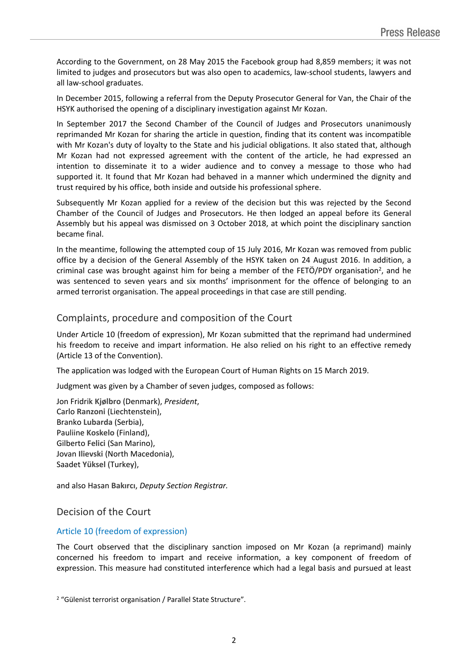According to the Government, on 28 May 2015 the Facebook group had 8,859 members; it was not limited to judges and prosecutors but was also open to academics, law-school students, lawyers and all law-school graduates.

In December 2015, following a referral from the Deputy Prosecutor General for Van, the Chair of the HSYK authorised the opening of a disciplinary investigation against Mr Kozan.

In September 2017 the Second Chamber of the Council of Judges and Prosecutors unanimously reprimanded Mr Kozan for sharing the article in question, finding that its content was incompatible with Mr Kozan's duty of loyalty to the State and his judicial obligations. It also stated that, although Mr Kozan had not expressed agreement with the content of the article, he had expressed an intention to disseminate it to a wider audience and to convey a message to those who had supported it. It found that Mr Kozan had behaved in a manner which undermined the dignity and trust required by his office, both inside and outside his professional sphere.

Subsequently Mr Kozan applied for a review of the decision but this was rejected by the Second Chamber of the Council of Judges and Prosecutors. He then lodged an appeal before its General Assembly but his appeal was dismissed on 3 October 2018, at which point the disciplinary sanction became final.

In the meantime, following the attempted coup of 15 July 2016, Mr Kozan was removed from public office by a decision of the General Assembly of the HSYK taken on 24 August 2016. In addition, a criminal case was brought against him for being a member of the FETÖ/PDY organisation<sup>2</sup>, and he was sentenced to seven years and six months' imprisonment for the offence of belonging to an armed terrorist organisation. The appeal proceedings in that case are still pending.

# Complaints, procedure and composition of the Court

Under Article 10 (freedom of expression), Mr Kozan submitted that the reprimand had undermined his freedom to receive and impart information. He also relied on his right to an effective remedy (Article 13 of the Convention).

The application was lodged with the European Court of Human Rights on 15 March 2019.

Judgment was given by a Chamber of seven judges, composed as follows:

Jon Fridrik **Kjølbro** (Denmark), *President*, Carlo **Ranzoni** (Liechtenstein), Branko **Lubarda** (Serbia), Pauliine **Koskelo** (Finland), Gilberto **Felici** (San Marino), Jovan **Ilievski** (North Macedonia), Saadet **Yüksel** (Turkey),

and also Hasan **Bakırcı**, *Deputy Section Registrar.*

# Decision of the Court

## Article 10 (freedom of expression)

The Court observed that the disciplinary sanction imposed on Mr Kozan (a reprimand) mainly concerned his freedom to impart and receive information, a key component of freedom of expression. This measure had constituted interference which had a legal basis and pursued at least

<sup>2</sup> "Gülenist terrorist organisation / Parallel State Structure".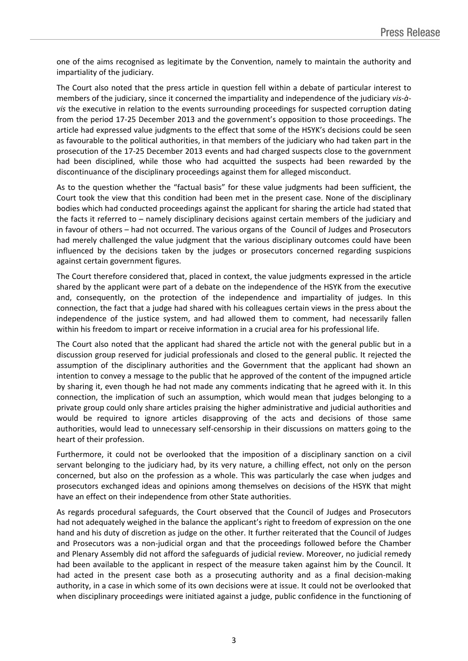one of the aims recognised as legitimate by the Convention, namely to maintain the authority and impartiality of the judiciary.

The Court also noted that the press article in question fell within a debate of particular interest to members of the judiciary, since it concerned the impartiality and independence of the judiciary *vis-àvis* the executive in relation to the events surrounding proceedings for suspected corruption dating from the period 17-25 December 2013 and the government's opposition to those proceedings. The article had expressed value judgments to the effect that some of the HSYK's decisions could be seen as favourable to the political authorities, in that members of the judiciary who had taken part in the prosecution of the 17-25 December 2013 events and had charged suspects close to the government had been disciplined, while those who had acquitted the suspects had been rewarded by the discontinuance of the disciplinary proceedings against them for alleged misconduct.

As to the question whether the "factual basis" for these value judgments had been sufficient, the Court took the view that this condition had been met in the present case. None of the disciplinary bodies which had conducted proceedings against the applicant for sharing the article had stated that the facts it referred to – namely disciplinary decisions against certain members of the judiciary and in favour of others – had not occurred. The various organs of the Council of Judges and Prosecutors had merely challenged the value judgment that the various disciplinary outcomes could have been influenced by the decisions taken by the judges or prosecutors concerned regarding suspicions against certain government figures.

The Court therefore considered that, placed in context, the value judgments expressed in the article shared by the applicant were part of a debate on the independence of the HSYK from the executive and, consequently, on the protection of the independence and impartiality of judges. In this connection, the fact that a judge had shared with his colleagues certain views in the press about the independence of the justice system, and had allowed them to comment, had necessarily fallen within his freedom to impart or receive information in a crucial area for his professional life.

The Court also noted that the applicant had shared the article not with the general public but in a discussion group reserved for judicial professionals and closed to the general public. It rejected the assumption of the disciplinary authorities and the Government that the applicant had shown an intention to convey a message to the public that he approved of the content of the impugned article by sharing it, even though he had not made any comments indicating that he agreed with it. In this connection, the implication of such an assumption, which would mean that judges belonging to a private group could only share articles praising the higher administrative and judicial authorities and would be required to ignore articles disapproving of the acts and decisions of those same authorities, would lead to unnecessary self-censorship in their discussions on matters going to the heart of their profession.

Furthermore, it could not be overlooked that the imposition of a disciplinary sanction on a civil servant belonging to the judiciary had, by its very nature, a chilling effect, not only on the person concerned, but also on the profession as a whole. This was particularly the case when judges and prosecutors exchanged ideas and opinions among themselves on decisions of the HSYK that might have an effect on their independence from other State authorities.

As regards procedural safeguards, the Court observed that the Council of Judges and Prosecutors had not adequately weighed in the balance the applicant's right to freedom of expression on the one hand and his duty of discretion as judge on the other. It further reiterated that the Council of Judges and Prosecutors was a non-judicial organ and that the proceedings followed before the Chamber and Plenary Assembly did not afford the safeguards of judicial review. Moreover, no judicial remedy had been available to the applicant in respect of the measure taken against him by the Council. It had acted in the present case both as a prosecuting authority and as a final decision-making authority, in a case in which some of its own decisions were at issue. It could not be overlooked that when disciplinary proceedings were initiated against a judge, public confidence in the functioning of